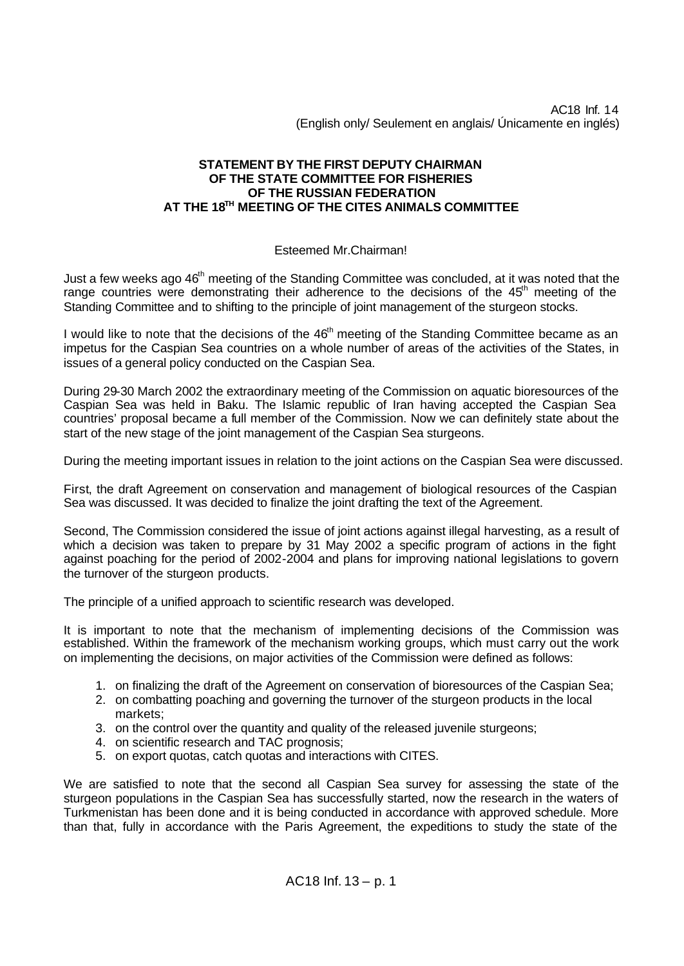AC18 Inf. 14 (English only/ Seulement en anglais/ Únicamente en inglés)

## **STATEMENT BY THE FIRST DEPUTY CHAIRMAN OF THE STATE COMMITTEE FOR FISHERIES OF THE RUSSIAN FEDERATION AT THE 18TH MEETING OF THE CITES ANIMALS COMMITTEE**

## Esteemed Mr.Chairman!

Just a few weeks ago 46<sup>th</sup> meeting of the Standing Committee was concluded, at it was noted that the range countries were demonstrating their adherence to the decisions of the 45<sup>th</sup> meeting of the Standing Committee and to shifting to the principle of joint management of the sturgeon stocks.

I would like to note that the decisions of the 46<sup>th</sup> meeting of the Standing Committee became as an impetus for the Caspian Sea countries on a whole number of areas of the activities of the States, in issues of a general policy conducted on the Caspian Sea.

During 29-30 March 2002 the extraordinary meeting of the Commission on aquatic bioresources of the Caspian Sea was held in Baku. The Islamic republic of Iran having accepted the Caspian Sea countries' proposal became a full member of the Commission. Now we can definitely state about the start of the new stage of the joint management of the Caspian Sea sturgeons.

During the meeting important issues in relation to the joint actions on the Caspian Sea were discussed.

First, the draft Agreement on conservation and management of biological resources of the Caspian Sea was discussed. It was decided to finalize the joint drafting the text of the Agreement.

Second, The Commission considered the issue of joint actions against illegal harvesting, as a result of which a decision was taken to prepare by 31 May 2002 a specific program of actions in the fight against poaching for the period of 2002-2004 and plans for improving national legislations to govern the turnover of the sturgeon products.

The principle of a unified approach to scientific research was developed.

It is important to note that the mechanism of implementing decisions of the Commission was established. Within the framework of the mechanism working groups, which must carry out the work on implementing the decisions, on major activities of the Commission were defined as follows:

- 1. on finalizing the draft of the Agreement on conservation of bioresources of the Caspian Sea;
- 2. on combatting poaching and governing the turnover of the sturgeon products in the local markets;
- 3. on the control over the quantity and quality of the released juvenile sturgeons;
- 4. on scientific research and TAC prognosis;
- 5. on export quotas, catch quotas and interactions with CITES.

We are satisfied to note that the second all Caspian Sea survey for assessing the state of the sturgeon populations in the Caspian Sea has successfully started, now the research in the waters of Turkmenistan has been done and it is being conducted in accordance with approved schedule. More than that, fully in accordance with the Paris Agreement, the expeditions to study the state of the